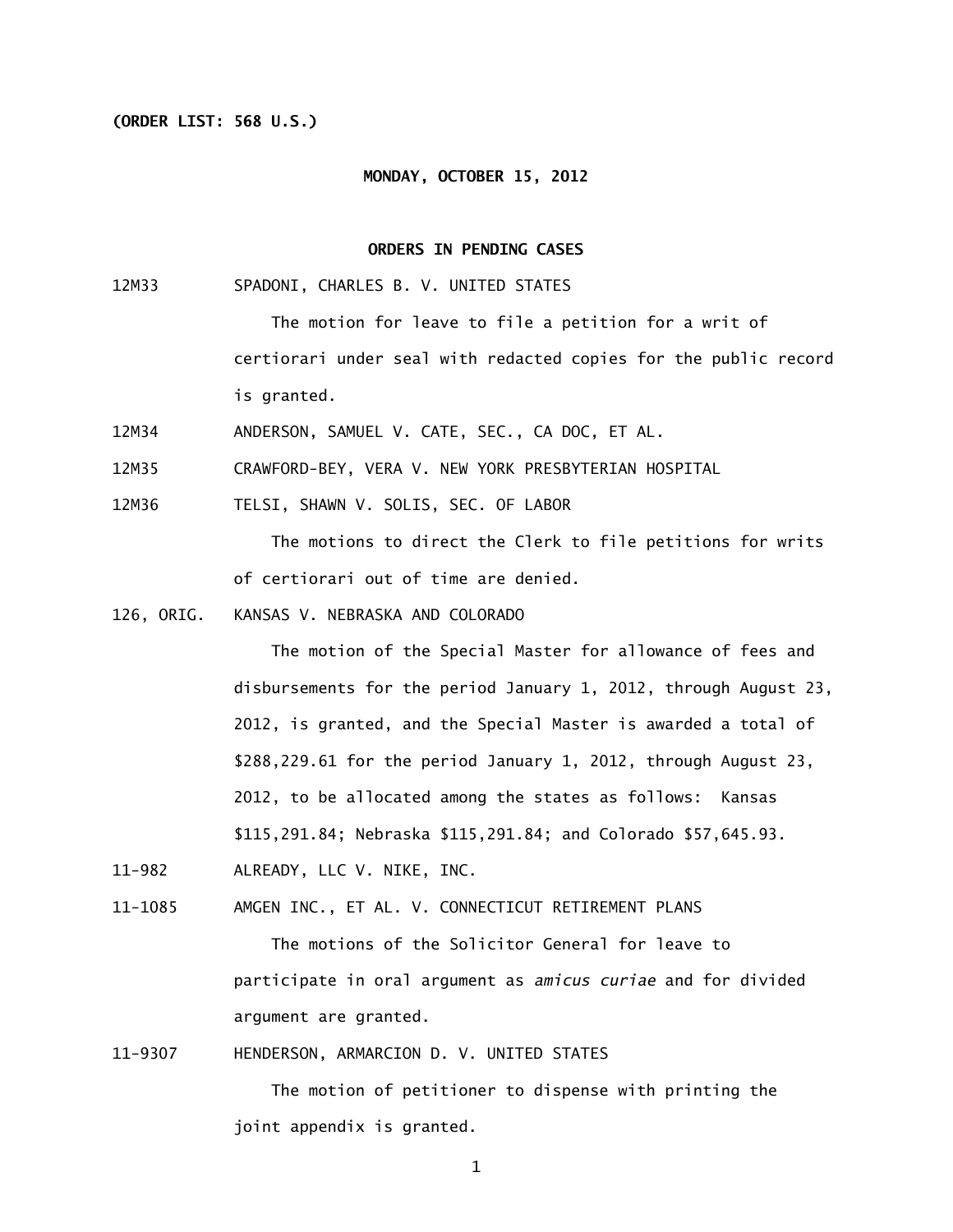## **(ORDER LIST: 568 U.S.)**

#### **MONDAY, OCTOBER 15, 2012**

## **ORDERS IN PENDING CASES**

12M33 SPADONI, CHARLES B. V. UNITED STATES

 The motion for leave to file a petition for a writ of certiorari under seal with redacted copies for the public record is granted.

12M34 ANDERSON, SAMUEL V. CATE, SEC., CA DOC, ET AL.

12M35 CRAWFORD-BEY, VERA V. NEW YORK PRESBYTERIAN HOSPITAL

12M36 TELSI, SHAWN V. SOLIS, SEC. OF LABOR

 The motions to direct the Clerk to file petitions for writs of certiorari out of time are denied.

126, ORIG. KANSAS V. NEBRASKA AND COLORADO

 The motion of the Special Master for allowance of fees and disbursements for the period January 1, 2012, through August 23, 2012, is granted, and the Special Master is awarded a total of \$288,229.61 for the period January 1, 2012, through August 23, 2012, to be allocated among the states as follows: Kansas \$115,291.84; Nebraska \$115,291.84; and Colorado \$57,645.93.

11-982 ALREADY, LLC V. NIKE, INC.

11-1085 AMGEN INC., ET AL. V. CONNECTICUT RETIREMENT PLANS

 The motions of the Solicitor General for leave to participate in oral argument as *amicus curiae* and for divided argument are granted.

11-9307 HENDERSON, ARMARCION D. V. UNITED STATES

 The motion of petitioner to dispense with printing the joint appendix is granted.

1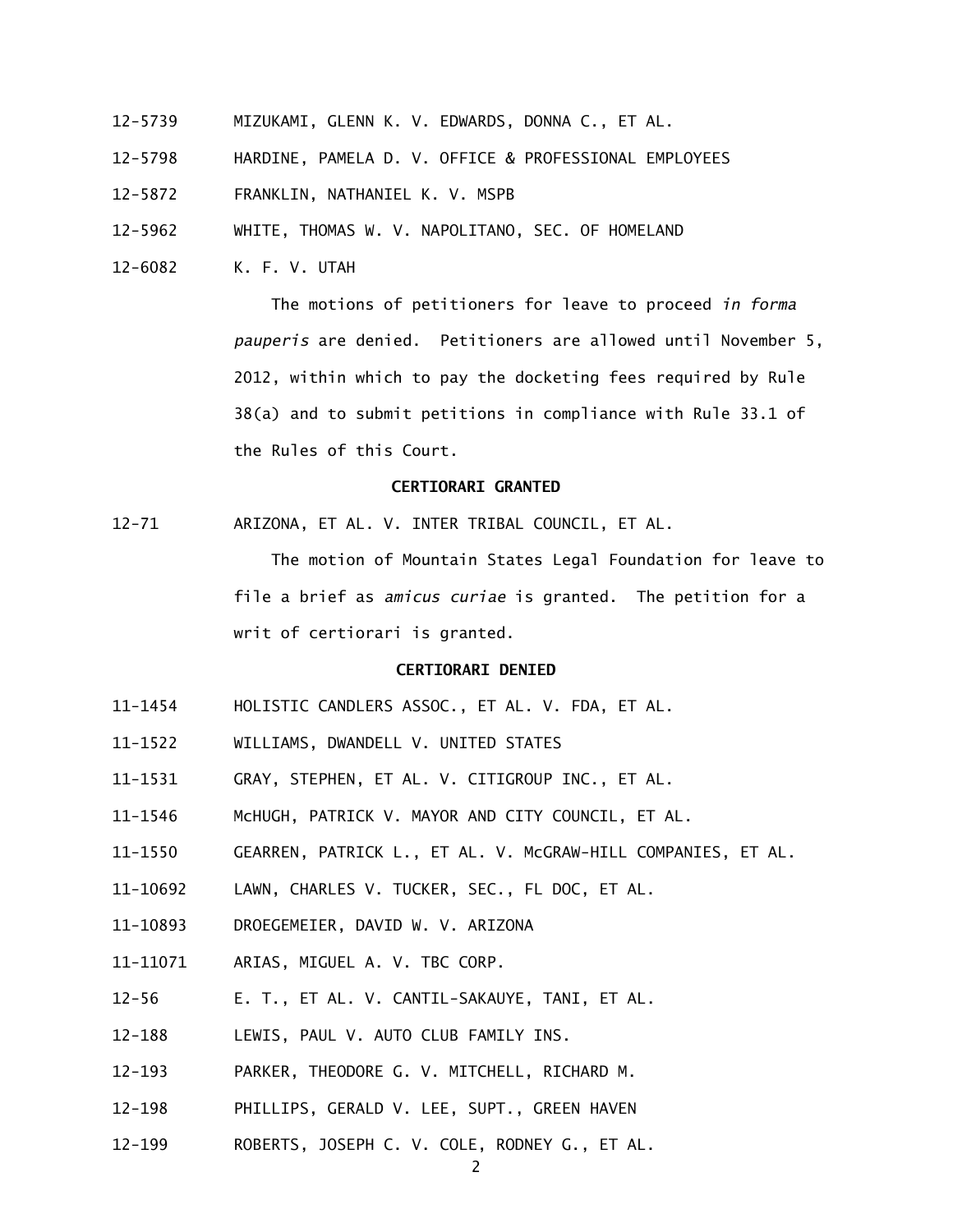- 12-5739 MIZUKAMI, GLENN K. V. EDWARDS, DONNA C., ET AL.
- 12-5798 HARDINE, PAMELA D. V. OFFICE & PROFESSIONAL EMPLOYEES

12-5872 FRANKLIN, NATHANIEL K. V. MSPB

12-5962 WHITE, THOMAS W. V. NAPOLITANO, SEC. OF HOMELAND

12-6082 K. F. V. UTAH

 The motions of petitioners for leave to proceed *in forma pauperis* are denied. Petitioners are allowed until November 5, 2012, within which to pay the docketing fees required by Rule 38(a) and to submit petitions in compliance with Rule 33.1 of the Rules of this Court.

# **CERTIORARI GRANTED**

12-71 ARIZONA, ET AL. V. INTER TRIBAL COUNCIL, ET AL.

 The motion of Mountain States Legal Foundation for leave to file a brief as *amicus curiae* is granted. The petition for a writ of certiorari is granted.

### **CERTIORARI DENIED**

- 11-1454 HOLISTIC CANDLERS ASSOC., ET AL. V. FDA, ET AL.
- 11-1522 WILLIAMS, DWANDELL V. UNITED STATES
- 11-1531 GRAY, STEPHEN, ET AL. V. CITIGROUP INC., ET AL.
- 11-1546 McHUGH, PATRICK V. MAYOR AND CITY COUNCIL, ET AL.
- 11-1550 GEARREN, PATRICK L., ET AL. V. McGRAW-HILL COMPANIES, ET AL.
- 11-10692 LAWN, CHARLES V. TUCKER, SEC., FL DOC, ET AL.
- 11-10893 DROEGEMEIER, DAVID W. V. ARIZONA
- 11-11071 ARIAS, MIGUEL A. V. TBC CORP.
- 12-56 E. T., ET AL. V. CANTIL-SAKAUYE, TANI, ET AL.
- 12-188 LEWIS, PAUL V. AUTO CLUB FAMILY INS.
- 12-193 PARKER, THEODORE G. V. MITCHELL, RICHARD M.
- 12-198 PHILLIPS, GERALD V. LEE, SUPT., GREEN HAVEN
- 12-199 ROBERTS, JOSEPH C. V. COLE, RODNEY G., ET AL.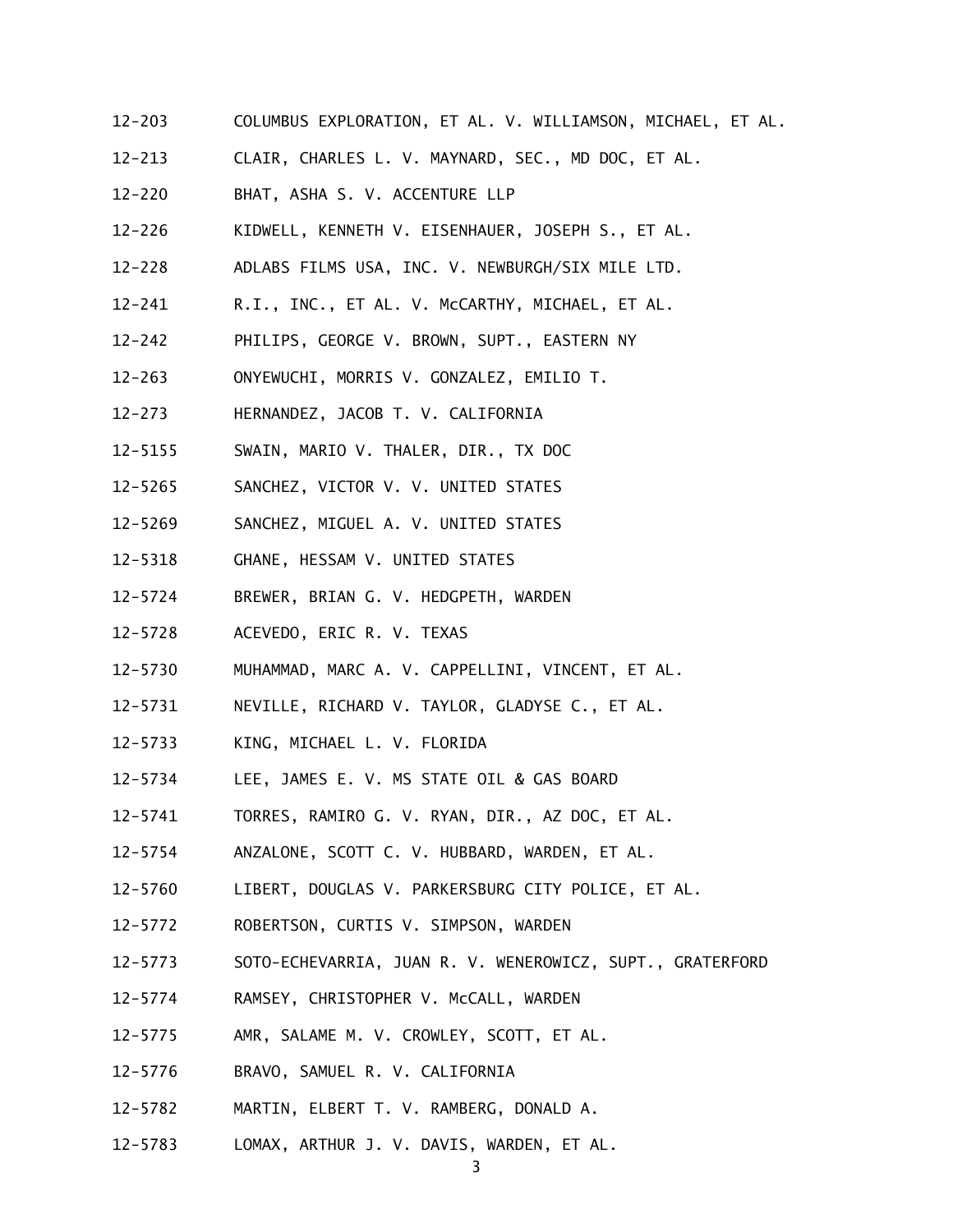- 12-203 COLUMBUS EXPLORATION, ET AL. V. WILLIAMSON, MICHAEL, ET AL.
- 12-213 CLAIR, CHARLES L. V. MAYNARD, SEC., MD DOC, ET AL.
- 12-220 BHAT, ASHA S. V. ACCENTURE LLP
- 12-226 KIDWELL, KENNETH V. EISENHAUER, JOSEPH S., ET AL.
- 12-228 ADLABS FILMS USA, INC. V. NEWBURGH/SIX MILE LTD.
- 12-241 R.I., INC., ET AL. V. McCARTHY, MICHAEL, ET AL.
- 12-242 PHILIPS, GEORGE V. BROWN, SUPT., EASTERN NY
- 12-263 ONYEWUCHI, MORRIS V. GONZALEZ, EMILIO T.
- 12-273 HERNANDEZ, JACOB T. V. CALIFORNIA
- 12-5155 SWAIN, MARIO V. THALER, DIR., TX DOC
- 12-5265 SANCHEZ, VICTOR V. V. UNITED STATES
- 12-5269 SANCHEZ, MIGUEL A. V. UNITED STATES
- 12-5318 GHANE, HESSAM V. UNITED STATES
- 12-5724 BREWER, BRIAN G. V. HEDGPETH, WARDEN
- 12-5728 ACEVEDO, ERIC R. V. TEXAS
- 12-5730 MUHAMMAD, MARC A. V. CAPPELLINI, VINCENT, ET AL.
- 12-5731 NEVILLE, RICHARD V. TAYLOR, GLADYSE C., ET AL.
- 12-5733 KING, MICHAEL L. V. FLORIDA
- 12-5734 LEE, JAMES E. V. MS STATE OIL & GAS BOARD
- 12-5741 TORRES, RAMIRO G. V. RYAN, DIR., AZ DOC, ET AL.
- 12-5754 ANZALONE, SCOTT C. V. HUBBARD, WARDEN, ET AL.
- 12-5760 LIBERT, DOUGLAS V. PARKERSBURG CITY POLICE, ET AL.
- 12-5772 ROBERTSON, CURTIS V. SIMPSON, WARDEN
- 12-5773 SOTO-ECHEVARRIA, JUAN R. V. WENEROWICZ, SUPT., GRATERFORD
- 12-5774 RAMSEY, CHRISTOPHER V. McCALL, WARDEN
- 12-5775 AMR, SALAME M. V. CROWLEY, SCOTT, ET AL.
- 12-5776 BRAVO, SAMUEL R. V. CALIFORNIA
- 12-5782 MARTIN, ELBERT T. V. RAMBERG, DONALD A.
- 12-5783 LOMAX, ARTHUR J. V. DAVIS, WARDEN, ET AL.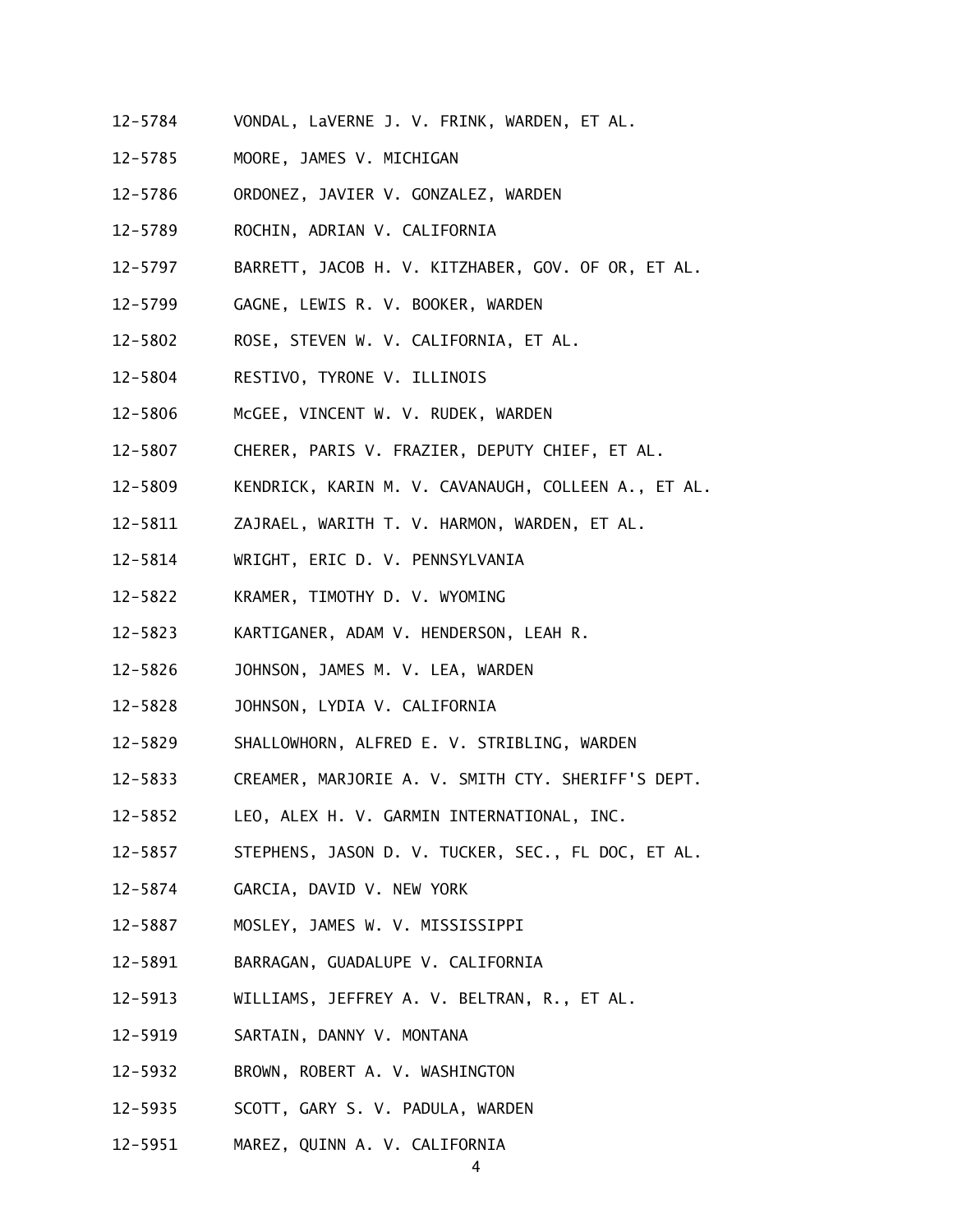- 12-5784 VONDAL, LaVERNE J. V. FRINK, WARDEN, ET AL.
- 12-5785 MOORE, JAMES V. MICHIGAN
- 12-5786 ORDONEZ, JAVIER V. GONZALEZ, WARDEN
- 12-5789 ROCHIN, ADRIAN V. CALIFORNIA
- 12-5797 BARRETT, JACOB H. V. KITZHABER, GOV. OF OR, ET AL.
- 12-5799 GAGNE, LEWIS R. V. BOOKER, WARDEN
- 12-5802 ROSE, STEVEN W. V. CALIFORNIA, ET AL.
- 12-5804 RESTIVO, TYRONE V. ILLINOIS
- 12-5806 McGEE, VINCENT W. V. RUDEK, WARDEN
- 12-5807 CHERER, PARIS V. FRAZIER, DEPUTY CHIEF, ET AL.
- 12-5809 KENDRICK, KARIN M. V. CAVANAUGH, COLLEEN A., ET AL.
- 12-5811 ZAJRAEL, WARITH T. V. HARMON, WARDEN, ET AL.
- 12-5814 WRIGHT, ERIC D. V. PENNSYLVANIA
- 12-5822 KRAMER, TIMOTHY D. V. WYOMING
- 12-5823 KARTIGANER, ADAM V. HENDERSON, LEAH R.
- 12-5826 JOHNSON, JAMES M. V. LEA, WARDEN
- 12-5828 JOHNSON, LYDIA V. CALIFORNIA
- 12-5829 SHALLOWHORN, ALFRED E. V. STRIBLING, WARDEN
- 12-5833 CREAMER, MARJORIE A. V. SMITH CTY. SHERIFF'S DEPT.
- 12-5852 LEO, ALEX H. V. GARMIN INTERNATIONAL, INC.
- 12-5857 STEPHENS, JASON D. V. TUCKER, SEC., FL DOC, ET AL.
- 12-5874 GARCIA, DAVID V. NEW YORK
- 12-5887 MOSLEY, JAMES W. V. MISSISSIPPI
- 12-5891 BARRAGAN, GUADALUPE V. CALIFORNIA
- 12-5913 WILLIAMS, JEFFREY A. V. BELTRAN, R., ET AL.
- 12-5919 SARTAIN, DANNY V. MONTANA
- 12-5932 BROWN, ROBERT A. V. WASHINGTON
- 12-5935 SCOTT, GARY S. V. PADULA, WARDEN
- 12-5951 MAREZ, QUINN A. V. CALIFORNIA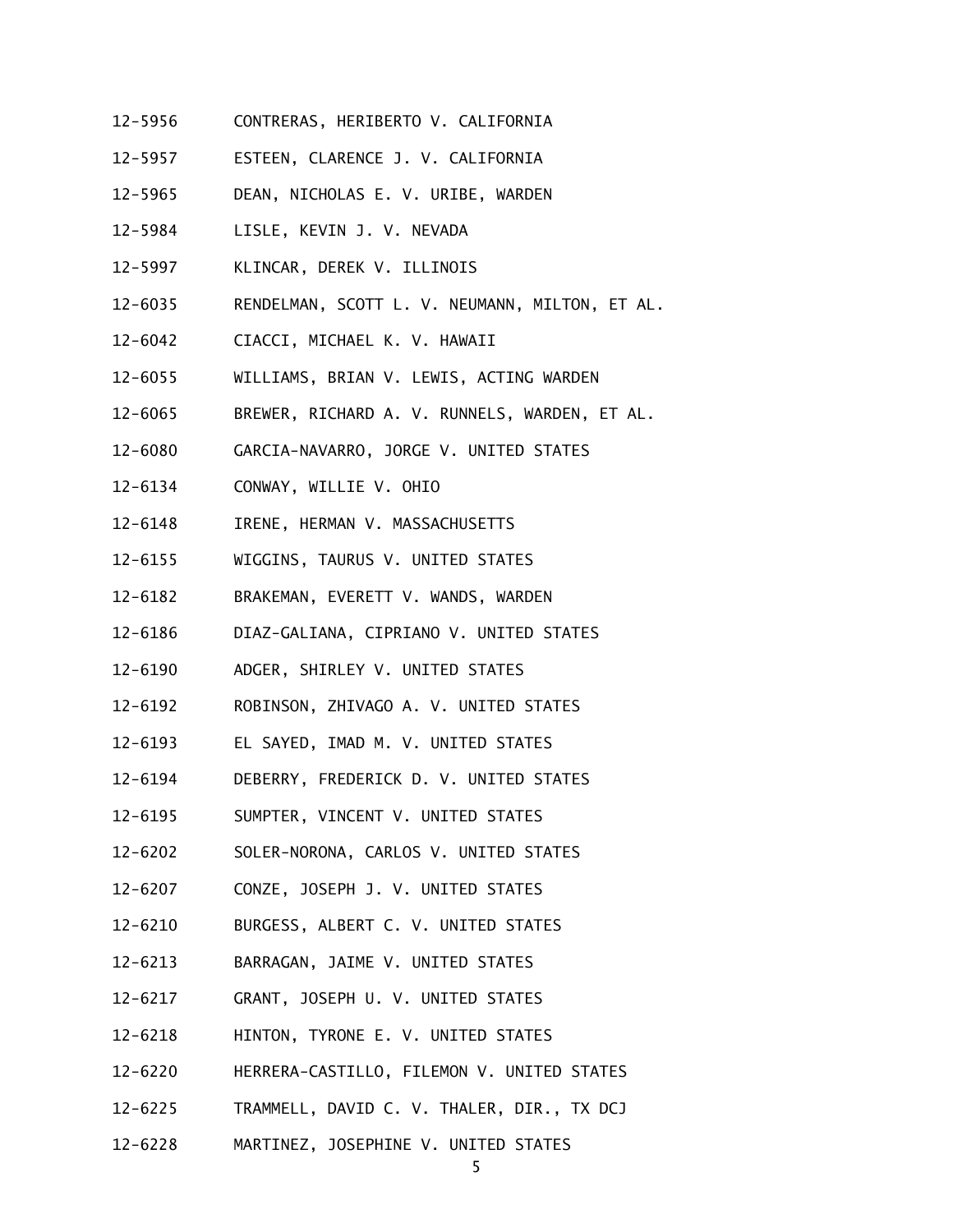- 12-5956 CONTRERAS, HERIBERTO V. CALIFORNIA
- 12-5957 ESTEEN, CLARENCE J. V. CALIFORNIA
- 12-5965 DEAN, NICHOLAS E. V. URIBE, WARDEN
- 12-5984 LISLE, KEVIN J. V. NEVADA
- 12-5997 KLINCAR, DEREK V. ILLINOIS
- 12-6035 RENDELMAN, SCOTT L. V. NEUMANN, MILTON, ET AL.
- 12-6042 CIACCI, MICHAEL K. V. HAWAII
- 12-6055 WILLIAMS, BRIAN V. LEWIS, ACTING WARDEN
- 12-6065 BREWER, RICHARD A. V. RUNNELS, WARDEN, ET AL.
- 12-6080 GARCIA-NAVARRO, JORGE V. UNITED STATES
- 12-6134 CONWAY, WILLIE V. OHIO
- 12-6148 IRENE, HERMAN V. MASSACHUSETTS
- 12-6155 WIGGINS, TAURUS V. UNITED STATES
- 12-6182 BRAKEMAN, EVERETT V. WANDS, WARDEN
- 12-6186 DIAZ-GALIANA, CIPRIANO V. UNITED STATES
- 12-6190 ADGER, SHIRLEY V. UNITED STATES
- 12-6192 ROBINSON, ZHIVAGO A. V. UNITED STATES
- 12-6193 EL SAYED, IMAD M. V. UNITED STATES
- 12-6194 DEBERRY, FREDERICK D. V. UNITED STATES
- 12-6195 SUMPTER, VINCENT V. UNITED STATES
- 12-6202 SOLER-NORONA, CARLOS V. UNITED STATES
- 12-6207 CONZE, JOSEPH J. V. UNITED STATES
- 12-6210 BURGESS, ALBERT C. V. UNITED STATES
- 12-6213 BARRAGAN, JAIME V. UNITED STATES
- 12-6217 GRANT, JOSEPH U. V. UNITED STATES
- 12-6218 HINTON, TYRONE E. V. UNITED STATES
- 12-6220 HERRERA-CASTILLO, FILEMON V. UNITED STATES
- 12-6225 TRAMMELL, DAVID C. V. THALER, DIR., TX DCJ
- 12-6228 MARTINEZ, JOSEPHINE V. UNITED STATES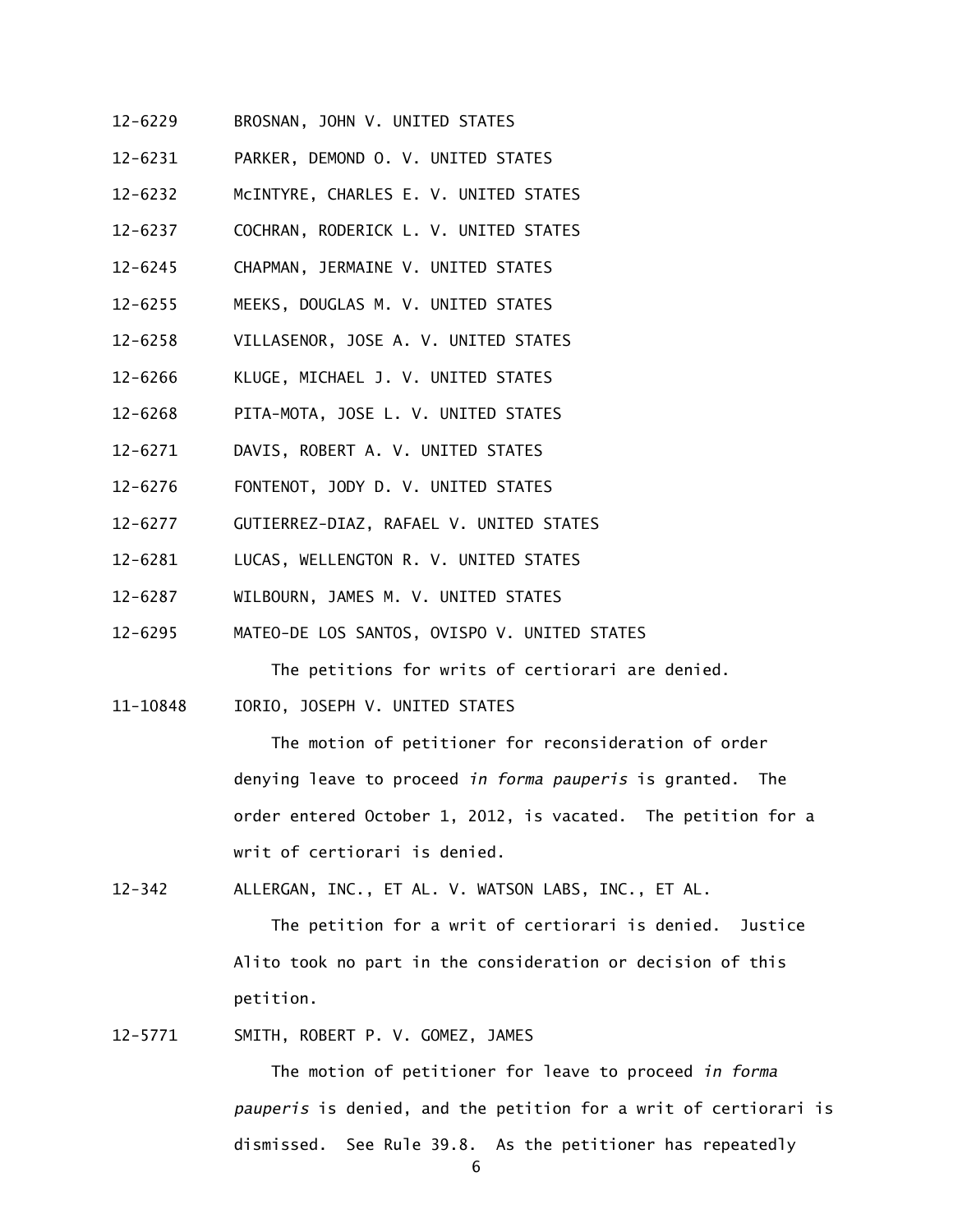- 12-6229 BROSNAN, JOHN V. UNITED STATES
- 12-6231 PARKER, DEMOND O. V. UNITED STATES
- 12-6232 McINTYRE, CHARLES E. V. UNITED STATES
- 12-6237 COCHRAN, RODERICK L. V. UNITED STATES
- 12-6245 CHAPMAN, JERMAINE V. UNITED STATES
- 12-6255 MEEKS, DOUGLAS M. V. UNITED STATES
- 12-6258 VILLASENOR, JOSE A. V. UNITED STATES
- 12-6266 KLUGE, MICHAEL J. V. UNITED STATES
- 12-6268 PITA-MOTA, JOSE L. V. UNITED STATES
- 12-6271 DAVIS, ROBERT A. V. UNITED STATES
- 12-6276 FONTENOT, JODY D. V. UNITED STATES
- 12-6277 GUTIERREZ-DIAZ, RAFAEL V. UNITED STATES
- 12-6281 LUCAS, WELLENGTON R. V. UNITED STATES
- 12-6287 WILBOURN, JAMES M. V. UNITED STATES
- 12-6295 MATEO-DE LOS SANTOS, OVISPO V. UNITED STATES

The petitions for writs of certiorari are denied.

11-10848 IORIO, JOSEPH V. UNITED STATES

 The motion of petitioner for reconsideration of order denying leave to proceed *in forma pauperis* is granted. The order entered October 1, 2012, is vacated. The petition for a writ of certiorari is denied.

12-342 ALLERGAN, INC., ET AL. V. WATSON LABS, INC., ET AL.

 The petition for a writ of certiorari is denied. Justice Alito took no part in the consideration or decision of this petition.

12-5771 SMITH, ROBERT P. V. GOMEZ, JAMES

 The motion of petitioner for leave to proceed *in forma pauperis* is denied, and the petition for a writ of certiorari is dismissed. See Rule 39.8. As the petitioner has repeatedly

6